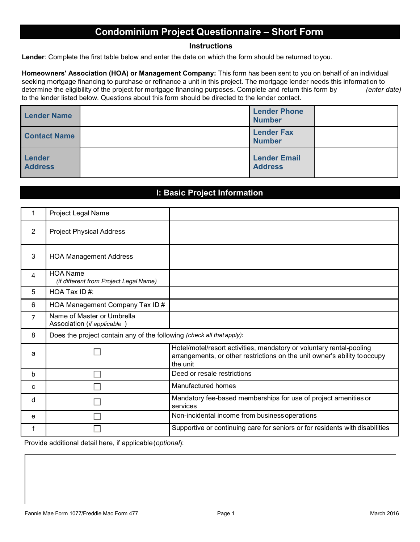# **Condominium Project Questionnaire – Short Form**

#### **Instructions**

**Lender**: Complete the first table below and enter the date on which the form should be returned toyou.

**Homeowners' Association (HOA) or Management Company:** This form has been sent to you on behalf of an individual seeking mortgage financing to purchase or refinance a unit in this project. The mortgage lender needs this information to determine the eligibility of the project for mortgage financing purposes. Complete and return this form by *(enter date)*  to the lender listed below. Questions about this form should be directed to the lender contact.

| <b>Lender Name</b>       | <b>Lender Phone</b><br><b>Number</b>  |  |
|--------------------------|---------------------------------------|--|
| <b>Contact Name</b>      | <b>Lender Fax</b><br><b>Number</b>    |  |
| Lender<br><b>Address</b> | <b>Lender Email</b><br><b>Address</b> |  |

#### **I: Basic Project Information**

|   | Project Legal Name                                                    |                                                                                                                                                              |
|---|-----------------------------------------------------------------------|--------------------------------------------------------------------------------------------------------------------------------------------------------------|
| 2 | <b>Project Physical Address</b>                                       |                                                                                                                                                              |
| 3 | <b>HOA Management Address</b>                                         |                                                                                                                                                              |
| 4 | <b>HOA Name</b><br>(if different from Project Legal Name)             |                                                                                                                                                              |
| 5 | HOA Tax ID#:                                                          |                                                                                                                                                              |
| 6 | HOA Management Company Tax ID #                                       |                                                                                                                                                              |
| 7 | Name of Master or Umbrella<br>Association (if applicable)             |                                                                                                                                                              |
| 8 | Does the project contain any of the following (check all that apply): |                                                                                                                                                              |
| a |                                                                       | Hotel/motel/resort activities, mandatory or voluntary rental-pooling<br>arrangements, or other restrictions on the unit owner's ability tooccupy<br>the unit |
| b |                                                                       | Deed or resale restrictions                                                                                                                                  |
| C |                                                                       | Manufactured homes                                                                                                                                           |
| d |                                                                       | Mandatory fee-based memberships for use of project amenities or<br>services                                                                                  |
| e |                                                                       | Non-incidental income from business operations                                                                                                               |
| f |                                                                       | Supportive or continuing care for seniors or for residents with disabilities                                                                                 |

Provide additional detail here, if applicable (*optional*):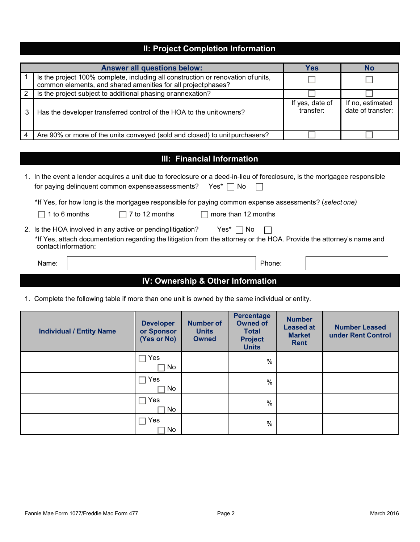#### **II: Project Completion Information**

|   | <b>Answer all questions below:</b>                                                                                                               | Yes                          | No                                    |
|---|--------------------------------------------------------------------------------------------------------------------------------------------------|------------------------------|---------------------------------------|
|   | Is the project 100% complete, including all construction or renovation of units,<br>common elements, and shared amenities for all projectphases? |                              |                                       |
| 2 | Is the project subject to additional phasing or annexation?                                                                                      |                              |                                       |
| 3 | Has the developer transferred control of the HOA to the unit owners?                                                                             | If yes, date of<br>transfer: | If no, estimated<br>date of transfer: |
|   | Are 90% or more of the units conveyed (sold and closed) to unit purchasers?                                                                      |                              |                                       |

### **III: Financial Information**

|                                              |               | for paying delinquent common expense assessments?                                                                        |  | Yes* l<br>No.       |        | 1. In the event a lender acquires a unit due to foreclosure or a deed-in-lieu of foreclosure, is the mortgagee responsible |  |
|----------------------------------------------|---------------|--------------------------------------------------------------------------------------------------------------------------|--|---------------------|--------|----------------------------------------------------------------------------------------------------------------------------|--|
|                                              | 1 to 6 months | *If Yes, for how long is the mortgagee responsible for paying common expense assessments? (select one)<br>7 to 12 months |  | more than 12 months |        |                                                                                                                            |  |
| contact information:                         |               | 2. Is the HOA involved in any active or pending litigation?                                                              |  | Yes*<br>No.         |        | *If Yes, attach documentation regarding the litigation from the attorney or the HOA. Provide the attorney's name and       |  |
| Name:                                        |               |                                                                                                                          |  |                     | Phone: |                                                                                                                            |  |
| <b>IV: Ownership &amp; Other Information</b> |               |                                                                                                                          |  |                     |        |                                                                                                                            |  |

1. Complete the following table if more than one unit is owned by the same individual or entity.

| <b>Individual / Entity Name</b> | <b>Developer</b><br>or Sponsor<br>(Yes or No) | <b>Number of</b><br><b>Units</b><br><b>Owned</b> | <b>Percentage</b><br><b>Owned of</b><br><b>Total</b><br><b>Project</b><br><b>Units</b> | <b>Number</b><br><b>Leased at</b><br><b>Market</b><br><b>Rent</b> | <b>Number Leased</b><br>under Rent Control |
|---------------------------------|-----------------------------------------------|--------------------------------------------------|----------------------------------------------------------------------------------------|-------------------------------------------------------------------|--------------------------------------------|
|                                 | Yes<br>No                                     |                                                  | $\%$                                                                                   |                                                                   |                                            |
|                                 | Yes<br>No                                     |                                                  | %                                                                                      |                                                                   |                                            |
|                                 | Yes<br>No                                     |                                                  | $\%$                                                                                   |                                                                   |                                            |
|                                 | Yes<br>No                                     |                                                  | $\frac{0}{0}$                                                                          |                                                                   |                                            |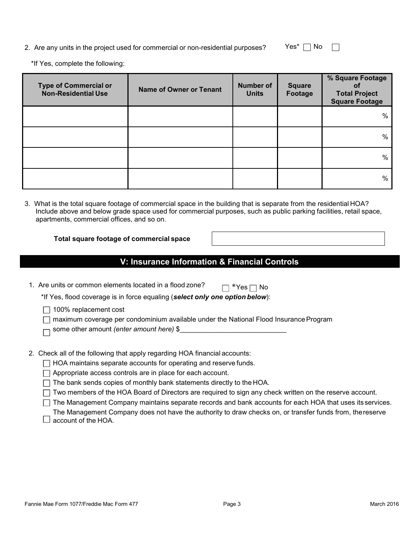2. Are any units in the project used for commercial or non-residential purposes? Yes<sup>\*</sup>  $\Box$  No  $\Box$ 

\*If Yes, complete the following:

| <b>Type of Commercial or</b><br><b>Non-Residential Use</b> | <b>Name of Owner or Tenant</b> | <b>Number of</b><br><b>Units</b> | <b>Square</b><br>Footage | % Square Footage<br>οf<br><b>Total Project</b><br><b>Square Footage</b> |
|------------------------------------------------------------|--------------------------------|----------------------------------|--------------------------|-------------------------------------------------------------------------|
|                                                            |                                |                                  |                          | %                                                                       |
|                                                            |                                |                                  |                          | %                                                                       |
|                                                            |                                |                                  |                          | %                                                                       |
|                                                            |                                |                                  |                          | %                                                                       |

3. What is the total square footage of commercial space in the building that is separate from the residential HOA? Include above and below grade space used for commercial purposes, such as public parking facilities, retail space, apartments, commercial offices, and so on.

**Total square footage of commercial space**

**V: Insurance Information & Financial Controls**

| 1. Are units or common elements located in a flood zone?<br>No.<br>*Yes!<br>*If Yes, flood coverage is in force equaling (select only one option below):   |
|------------------------------------------------------------------------------------------------------------------------------------------------------------|
| 100% replacement cost<br>maximum coverage per condominium available under the National Flood Insurance Program<br>some other amount (enter amount here) \$ |
| 2. Check all of the following that apply regarding HOA financial accounts:                                                                                 |
| HOA maintains separate accounts for operating and reserve funds.                                                                                           |
| Appropriate access controls are in place for each account.                                                                                                 |
| The bank sends copies of monthly bank statements directly to the HOA.                                                                                      |
| Two members of the HOA Board of Directors are required to sign any check written on the reserve account.                                                   |
| The Management Company maintains separate records and bank accounts for each HOA that uses its services.                                                   |
| The Management Company does not have the authority to draw checks on, or transfer funds from, the reserve<br>account of the HOA.                           |